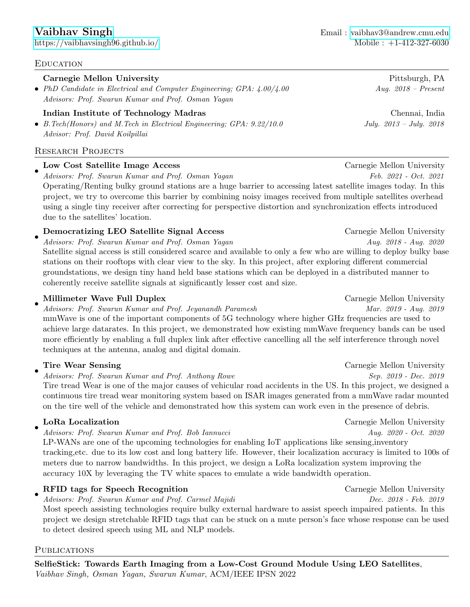## Carnegie Mellon University **Pittsburgh, PA**

• PhD Candidate in Electrical and Computer Engineering; GPA:  $4.00/4.00$  Aug. 2018 - Present Advisors: Prof. Swarun Kumar and Prof. Osman Yagan

# Indian Institute of Technology Madras **Chennai**, India

• B.Tech(Honors) and M.Tech in Electrical Engineering; GPA: 9.22/10.0 July. 2013 – July. 2018 Advisor: Prof. David Koilpillai

# Research Projects

#### • Low Cost Satellite Image Access Carnegie Mellon University

Advisors: Prof. Swarun Kumar and Prof. Osman Yagan Feb. 2021 - Oct. 2021 Operating/Renting bulky ground stations are a huge barrier to accessing latest satellite images today. In this project, we try to overcome this barrier by combining noisy images received from multiple satellites overhead using a single tiny receiver after correcting for perspective distortion and synchronization effects introduced due to the satellites' location.

### • **Democratizing LEO Satellite Signal Access** Carnegie Mellon University

Advisors: Prof. Swarun Kumar and Prof. Osman Yagan Aug. 2018 - Aug. 2020 Satellite signal access is still considered scarce and available to only a few who are willing to deploy bulky base stations on their rooftops with clear view to the sky. In this project, after exploring different commercial groundstations, we design tiny hand held base stations which can be deployed in a distributed manner to coherently receive satellite signals at significantly lesser cost and size.

#### • Millimeter Wave Full Duplex **Carnegie Mellon University** Carnegie Mellon University

Advisors: Prof. Swarun Kumar and Prof. Jeyanandh Paramesh Mar. 2019 - Aug. 2019 mmWave is one of the important components of 5G technology where higher GHz frequencies are used to achieve large datarates. In this project, we demonstrated how existing mmWave frequency bands can be used more efficiently by enabling a full duplex link after effective cancelling all the self interference through novel techniques at the antenna, analog and digital domain.

•

Advisors: Prof. Swarun Kumar and Prof. Anthony Rowe Sep. 2019 - Dec. 2019 Tire tread Wear is one of the major causes of vehicular road accidents in the US. In this project, we designed a continuous tire tread wear monitoring system based on ISAR images generated from a mmWave radar mounted on the tire well of the vehicle and demonstrated how this system can work even in the presence of debris.

#### • LoRa Localization Carnegie Mellon University

Advisors: Prof. Swarun Kumar and Prof. Bob Iannucci Aug. 2020 - Oct. 2020

LP-WANs are one of the upcoming technologies for enabling IoT applications like sensing,inventory tracking,etc. due to its low cost and long battery life. However, their localization accuracy is limited to 100s of meters due to narrow bandwidths. In this project, we design a LoRa localization system improving the accuracy 10X by leveraging the TV white spaces to emulate a wide bandwidth operation.

### • RFID tags for Speech Recognition Carnegie Mellon University

Advisors: Prof. Swarun Kumar and Prof. Carmel Majidi Dec. 2018 - Feb. 2019 Most speech assisting technologies require bulky external hardware to assist speech impaired patients. In this project we design stretchable RFID tags that can be stuck on a mute person's face whose response can be used to detect desired speech using ML and NLP models.

# PUBLICATIONS

SelfieStick: Towards Earth Imaging from a Low-Cost Ground Module Using LEO Satellites, Vaibhav Singh, Osman Yagan, Swarun Kumar, ACM/IEEE IPSN 2022

Tire Wear Sensing The Carnegie Mellon University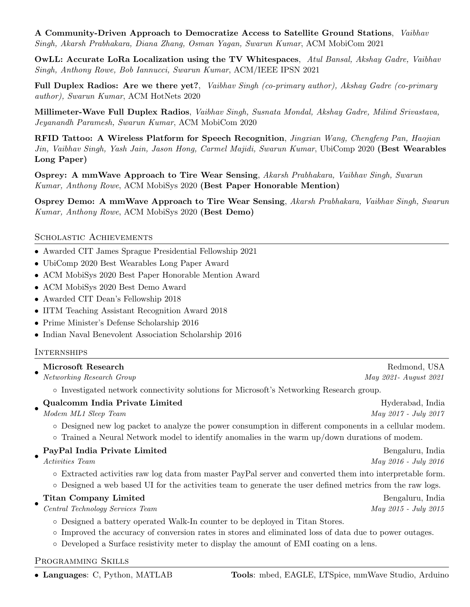A Community-Driven Approach to Democratize Access to Satellite Ground Stations, Vaibhav Singh, Akarsh Prabhakara, Diana Zhang, Osman Yagan, Swarun Kumar, ACM MobiCom 2021

OwLL: Accurate LoRa Localization using the TV Whitespaces, Atul Bansal, Akshay Gadre, Vaibhav Singh, Anthony Rowe, Bob Iannucci, Swarun Kumar, ACM/IEEE IPSN 2021

Full Duplex Radios: Are we there yet?, Vaibhav Singh (co-primary author), Akshay Gadre (co-primary author), Swarun Kumar, ACM HotNets 2020

Millimeter-Wave Full Duplex Radios, Vaibhav Singh, Susnata Mondal, Akshay Gadre, Milind Srivastava, Jeyanandh Paramesh, Swarun Kumar, ACM MobiCom 2020

RFID Tattoo: A Wireless Platform for Speech Recognition, Jingxian Wang, Chengfeng Pan, Haojian Jin, Vaibhav Singh, Yash Jain, Jason Hong, Carmel Majidi, Swarun Kumar, UbiComp 2020 (Best Wearables Long Paper)

Osprey: A mmWave Approach to Tire Wear Sensing, Akarsh Prabhakara, Vaibhav Singh, Swarun Kumar, Anthony Rowe, ACM MobiSys 2020 (Best Paper Honorable Mention)

Osprey Demo: A mmWave Approach to Tire Wear Sensing, Akarsh Prabhakara, Vaibhav Singh, Swarun Kumar, Anthony Rowe, ACM MobiSys 2020 (Best Demo)

## Scholastic Achievements

- Awarded CIT James Sprague Presidential Fellowship 2021
- UbiComp 2020 Best Wearables Long Paper Award
- ACM MobiSys 2020 Best Paper Honorable Mention Award
- ACM MobiSys 2020 Best Demo Award
- Awarded CIT Dean's Fellowship 2018
- IITM Teaching Assistant Recognition Award 2018
- Prime Minister's Defense Scholarship 2016
- Indian Naval Benevolent Association Scholarship 2016

## **INTERNSHIPS**

|           | Microsoft Research                                                                                                                                                                                                     | Redmond, USA          |  |
|-----------|------------------------------------------------------------------------------------------------------------------------------------------------------------------------------------------------------------------------|-----------------------|--|
|           | Networking Research Group                                                                                                                                                                                              | May 2021- August 2021 |  |
|           | o Investigated network connectivity solutions for Microsoft's Networking Research group.                                                                                                                               |                       |  |
|           | Qualcomm India Private Limited                                                                                                                                                                                         | Hyderabad, India      |  |
|           | Modem ML1 Sleep Team                                                                                                                                                                                                   | May 2017 - July 2017  |  |
|           | o Designed new log packet to analyze the power consumption in different components in a cellular modem.<br>$\circ$ Trained a Neural Network model to identify anomalies in the warm up/down durations of modem.        |                       |  |
| $\bullet$ | PayPal India Private Limited                                                                                                                                                                                           | Bengaluru, India      |  |
|           | <i>Activities Team</i>                                                                                                                                                                                                 | May 2016 - July 2016  |  |
|           | o Extracted activities raw log data from master PayPal server and converted them into interpretable form.<br>o Designed a web based UI for the activities team to generate the user defined metrics from the raw logs. |                       |  |
|           | <b>Titan Company Limited</b>                                                                                                                                                                                           | Bengaluru, India      |  |
|           | Central Technology Services Team                                                                                                                                                                                       | May 2015 - July 2015  |  |
|           |                                                                                                                                                                                                                        |                       |  |

- Designed a battery operated Walk-In counter to be deployed in Titan Stores.
- Improved the accuracy of conversion rates in stores and eliminated loss of data due to power outages.
- Developed a Surface resistivity meter to display the amount of EMI coating on a lens.

## Programming Skills